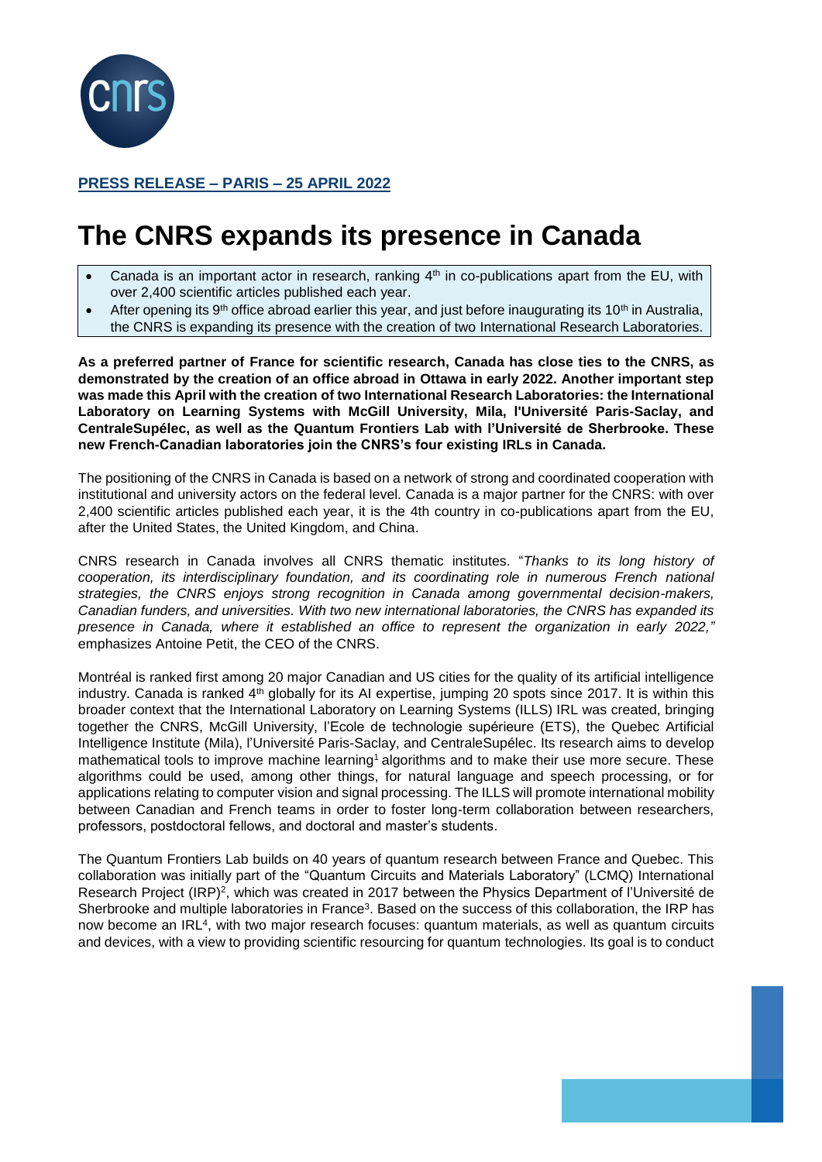

## **PRESS RELEASE – PARIS – 25 APRIL 2022**

## **The CNRS expands its presence in Canada**

- Canada is an important actor in research, ranking  $4<sup>th</sup>$  in co-publications apart from the EU, with over 2,400 scientific articles published each year.
- After opening its 9<sup>th</sup> office abroad earlier this year, and just before inaugurating its 10<sup>th</sup> in Australia, the CNRS is expanding its presence with the creation of two International Research Laboratories.

**As a preferred partner of France for scientific research, Canada has close ties to the CNRS, as demonstrated by the creation of an office abroad in Ottawa in early 2022. Another important step was made this April with the creation of two International Research Laboratories: the International Laboratory on Learning Systems with McGill University, Mila, l'Université Paris-Saclay, and CentraleSupélec, as well as the Quantum Frontiers Lab with l'Université de Sherbrooke. These new French-Canadian laboratories join the CNRS's four existing IRLs in Canada.**

The positioning of the CNRS in Canada is based on a network of strong and coordinated cooperation with institutional and university actors on the federal level. Canada is a major partner for the CNRS: with over 2,400 scientific articles published each year, it is the 4th country in co-publications apart from the EU, after the United States, the United Kingdom, and China.

CNRS research in Canada involves all CNRS thematic institutes. "*Thanks to its long history of cooperation, its interdisciplinary foundation, and its coordinating role in numerous French national strategies, the CNRS enjoys strong recognition in Canada among governmental decision-makers, Canadian funders, and universities. With two new international laboratories, the CNRS has expanded its presence in Canada, where it established an office to represent the organization in early 2022,"* emphasizes Antoine Petit, the CEO of the CNRS.

Montréal is ranked first among 20 major Canadian and US cities for the quality of its artificial intelligence industry. Canada is ranked 4th globally for its AI expertise, jumping 20 spots since 2017. It is within this broader context that the International Laboratory on Learning Systems (ILLS) IRL was created, bringing together the CNRS, McGill University, l'Ecole de technologie supérieure (ETS), the Quebec Artificial Intelligence Institute (Mila), l'Université Paris-Saclay, and CentraleSupélec. Its research aims to develop mathematical tools to improve machine learning<sup>1</sup> algorithms and to make their use more secure. These algorithms could be used, among other things, for natural language and speech processing, or for applications relating to computer vision and signal processing. The ILLS will promote international mobility between Canadian and French teams in order to foster long-term collaboration between researchers, professors, postdoctoral fellows, and doctoral and master's students.

The Quantum Frontiers Lab builds on 40 years of quantum research between France and Quebec. This collaboration was initially part of the "Quantum Circuits and Materials Laboratory" (LCMQ) International Research Project (IRP)<sup>2</sup>, which was created in 2017 between the Physics Department of l'Université de Sherbrooke and multiple laboratories in France<sup>3</sup>. Based on the success of this collaboration, the IRP has now become an IRL<sup>4</sup> , with two major research focuses: quantum materials, as well as quantum circuits and devices, with a view to providing scientific resourcing for quantum technologies. Its goal is to conduct